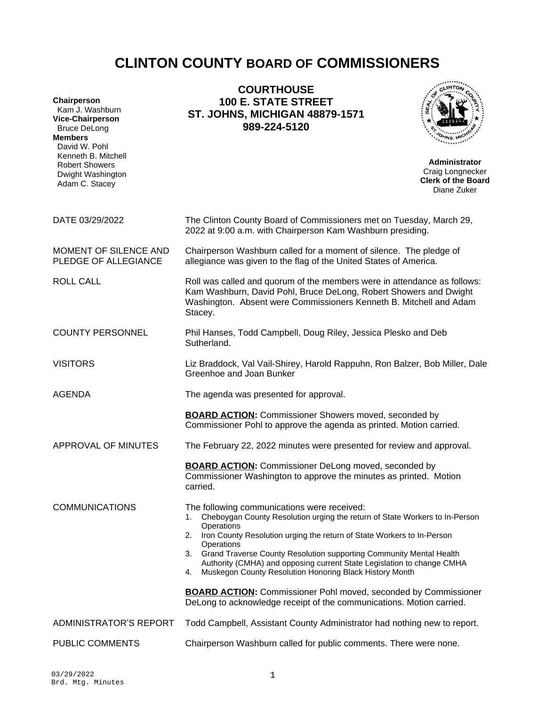# **CLINTON COUNTY BOARD OF COMMISSIONERS**

| Chairperson<br>Kam J. Washburn<br><b>Vice-Chairperson</b><br><b>Bruce DeLong</b><br><b>Members</b><br>David W. Pohl<br>Kenneth B. Mitchell<br><b>Robert Showers</b><br>Dwight Washington<br>Adam C. Stacey | <b>COURTHOUSE</b><br><b>100 E. STATE STREET</b><br><b>ST. JOHNS, MICHIGAN 48879-1571</b><br>989-224-5120                                                                                                                                                                                                                                                                                                                                                                                                                                                                                                               | <b>Administrator</b><br>Craig Longnecker<br><b>Clerk of the Board</b><br>Diane Zuker |  |
|------------------------------------------------------------------------------------------------------------------------------------------------------------------------------------------------------------|------------------------------------------------------------------------------------------------------------------------------------------------------------------------------------------------------------------------------------------------------------------------------------------------------------------------------------------------------------------------------------------------------------------------------------------------------------------------------------------------------------------------------------------------------------------------------------------------------------------------|--------------------------------------------------------------------------------------|--|
| DATE 03/29/2022                                                                                                                                                                                            | The Clinton County Board of Commissioners met on Tuesday, March 29,<br>2022 at 9:00 a.m. with Chairperson Kam Washburn presiding.                                                                                                                                                                                                                                                                                                                                                                                                                                                                                      |                                                                                      |  |
| MOMENT OF SILENCE AND<br>PLEDGE OF ALLEGIANCE                                                                                                                                                              | Chairperson Washburn called for a moment of silence. The pledge of<br>allegiance was given to the flag of the United States of America.                                                                                                                                                                                                                                                                                                                                                                                                                                                                                |                                                                                      |  |
| <b>ROLL CALL</b>                                                                                                                                                                                           | Roll was called and quorum of the members were in attendance as follows:<br>Kam Washburn, David Pohl, Bruce DeLong, Robert Showers and Dwight<br>Washington. Absent were Commissioners Kenneth B. Mitchell and Adam<br>Stacey.                                                                                                                                                                                                                                                                                                                                                                                         |                                                                                      |  |
| <b>COUNTY PERSONNEL</b>                                                                                                                                                                                    | Phil Hanses, Todd Campbell, Doug Riley, Jessica Plesko and Deb<br>Sutherland.                                                                                                                                                                                                                                                                                                                                                                                                                                                                                                                                          |                                                                                      |  |
| <b>VISITORS</b>                                                                                                                                                                                            | Liz Braddock, Val Vail-Shirey, Harold Rappuhn, Ron Balzer, Bob Miller, Dale<br>Greenhoe and Joan Bunker                                                                                                                                                                                                                                                                                                                                                                                                                                                                                                                |                                                                                      |  |
| <b>AGENDA</b>                                                                                                                                                                                              | The agenda was presented for approval.                                                                                                                                                                                                                                                                                                                                                                                                                                                                                                                                                                                 |                                                                                      |  |
|                                                                                                                                                                                                            | <b>BOARD ACTION:</b> Commissioner Showers moved, seconded by<br>Commissioner Pohl to approve the agenda as printed. Motion carried.                                                                                                                                                                                                                                                                                                                                                                                                                                                                                    |                                                                                      |  |
| APPROVAL OF MINUTES                                                                                                                                                                                        | The February 22, 2022 minutes were presented for review and approval.                                                                                                                                                                                                                                                                                                                                                                                                                                                                                                                                                  |                                                                                      |  |
|                                                                                                                                                                                                            | <b>BOARD ACTION:</b> Commissioner DeLong moved, seconded by<br>Commissioner Washington to approve the minutes as printed. Motion<br>carried.                                                                                                                                                                                                                                                                                                                                                                                                                                                                           |                                                                                      |  |
| <b>COMMUNICATIONS</b>                                                                                                                                                                                      | The following communications were received:<br>Cheboygan County Resolution urging the return of State Workers to In-Person<br>1.<br>Operations<br>Iron County Resolution urging the return of State Workers to In-Person<br>2.<br>Operations<br>Grand Traverse County Resolution supporting Community Mental Health<br>3.<br>Authority (CMHA) and opposing current State Legislation to change CMHA<br>Muskegon County Resolution Honoring Black History Month<br>4.<br><b>BOARD ACTION:</b> Commissioner Pohl moved, seconded by Commissioner<br>DeLong to acknowledge receipt of the communications. Motion carried. |                                                                                      |  |
| ADMINISTRATOR'S REPORT                                                                                                                                                                                     | Todd Campbell, Assistant County Administrator had nothing new to report.                                                                                                                                                                                                                                                                                                                                                                                                                                                                                                                                               |                                                                                      |  |
| PUBLIC COMMENTS                                                                                                                                                                                            | Chairperson Washburn called for public comments. There were none.                                                                                                                                                                                                                                                                                                                                                                                                                                                                                                                                                      |                                                                                      |  |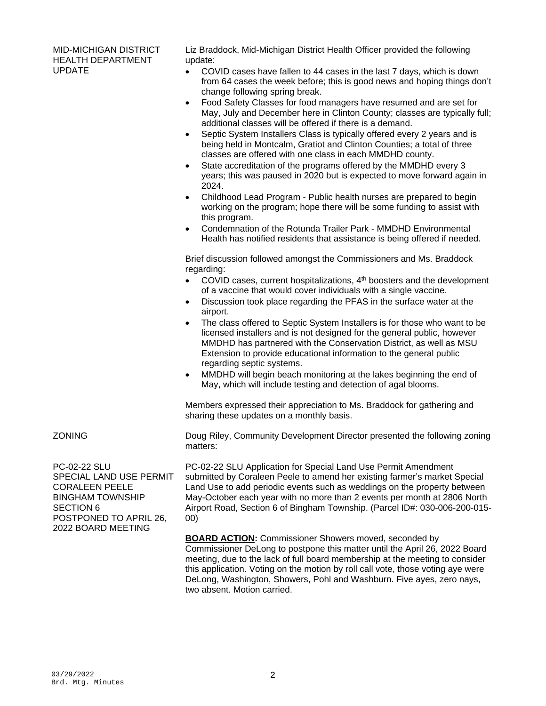MID-MICHIGAN DISTRICT HEALTH DEPARTMENT UPDATE

Liz Braddock, Mid-Michigan District Health Officer provided the following update:

- COVID cases have fallen to 44 cases in the last 7 days, which is down from 64 cases the week before; this is good news and hoping things don't change following spring break.
- Food Safety Classes for food managers have resumed and are set for May, July and December here in Clinton County; classes are typically full; additional classes will be offered if there is a demand.
- Septic System Installers Class is typically offered every 2 years and is being held in Montcalm, Gratiot and Clinton Counties; a total of three classes are offered with one class in each MMDHD county.
- State accreditation of the programs offered by the MMDHD every 3 years; this was paused in 2020 but is expected to move forward again in 2024.
- Childhood Lead Program Public health nurses are prepared to begin working on the program; hope there will be some funding to assist with this program.
- Condemnation of the Rotunda Trailer Park MMDHD Environmental Health has notified residents that assistance is being offered if needed.

Brief discussion followed amongst the Commissioners and Ms. Braddock regarding:

- $\bullet$  COVID cases, current hospitalizations,  $4<sup>th</sup>$  boosters and the development of a vaccine that would cover individuals with a single vaccine.
- Discussion took place regarding the PFAS in the surface water at the airport.
- The class offered to Septic System Installers is for those who want to be licensed installers and is not designed for the general public, however MMDHD has partnered with the Conservation District, as well as MSU Extension to provide educational information to the general public regarding septic systems.
- MMDHD will begin beach monitoring at the lakes beginning the end of May, which will include testing and detection of agal blooms.

Members expressed their appreciation to Ms. Braddock for gathering and sharing these updates on a monthly basis.

PC-02-22 SLU SPECIAL LAND USE PERMIT CORALEEN PEELE BINGHAM TOWNSHIP SECTION 6 POSTPONED TO APRIL 26, 2022 BOARD MEETING

ZONING **Doug Riley, Community Development Director presented the following zoning** matters:

> PC-02-22 SLU Application for Special Land Use Permit Amendment submitted by Coraleen Peele to amend her existing farmer's market Special Land Use to add periodic events such as weddings on the property between May-October each year with no more than 2 events per month at 2806 North Airport Road, Section 6 of Bingham Township. (Parcel ID#: 030-006-200-015- 00)

**BOARD ACTION:** Commissioner Showers moved, seconded by Commissioner DeLong to postpone this matter until the April 26, 2022 Board meeting, due to the lack of full board membership at the meeting to consider this application. Voting on the motion by roll call vote, those voting aye were DeLong, Washington, Showers, Pohl and Washburn. Five ayes, zero nays, two absent. Motion carried.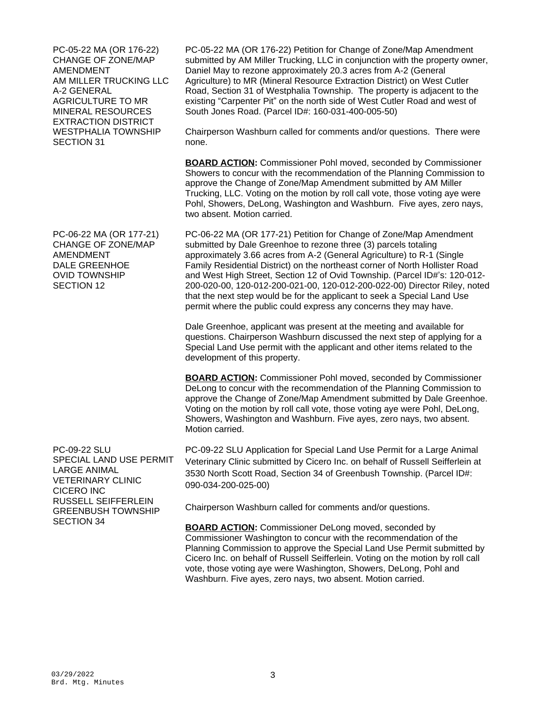PC-05-22 MA (OR 176-22) CHANGE OF ZONE/MAP AMENDMENT AM MILLER TRUCKING LLC A-2 GENERAL AGRICULTURE TO MR MINERAL RESOURCES EXTRACTION DISTRICT WESTPHALIA TOWNSHIP SECTION 31

PC-06-22 MA (OR 177-21) CHANGE OF ZONE/MAP AMENDMENT DALE GREENHOE OVID TOWNSHIP SECTION 12

PC-09-22 SLU SPECIAL LAND USE PERMIT LARGE ANIMAL VETERINARY CLINIC CICERO INC RUSSELL SEIFFERLEIN GREENBUSH TOWNSHIP SECTION 34

PC-05-22 MA (OR 176-22) Petition for Change of Zone/Map Amendment submitted by AM Miller Trucking, LLC in conjunction with the property owner, Daniel May to rezone approximately 20.3 acres from A-2 (General Agriculture) to MR (Mineral Resource Extraction District) on West Cutler Road, Section 31 of Westphalia Township. The property is adjacent to the existing "Carpenter Pit" on the north side of West Cutler Road and west of South Jones Road. (Parcel ID#: 160-031-400-005-50)

Chairperson Washburn called for comments and/or questions. There were none.

**BOARD ACTION:** Commissioner Pohl moved, seconded by Commissioner Showers to concur with the recommendation of the Planning Commission to approve the Change of Zone/Map Amendment submitted by AM Miller Trucking, LLC. Voting on the motion by roll call vote, those voting aye were Pohl, Showers, DeLong, Washington and Washburn. Five ayes, zero nays, two absent. Motion carried.

PC-06-22 MA (OR 177-21) Petition for Change of Zone/Map Amendment submitted by Dale Greenhoe to rezone three (3) parcels totaling approximately 3.66 acres from A-2 (General Agriculture) to R-1 (Single Family Residential District) on the northeast corner of North Hollister Road and West High Street, Section 12 of Ovid Township. (Parcel ID#'s: 120-012- 200-020-00, 120-012-200-021-00, 120-012-200-022-00) Director Riley, noted that the next step would be for the applicant to seek a Special Land Use permit where the public could express any concerns they may have.

Dale Greenhoe, applicant was present at the meeting and available for questions. Chairperson Washburn discussed the next step of applying for a Special Land Use permit with the applicant and other items related to the development of this property.

**BOARD ACTION:** Commissioner Pohl moved, seconded by Commissioner DeLong to concur with the recommendation of the Planning Commission to approve the Change of Zone/Map Amendment submitted by Dale Greenhoe. Voting on the motion by roll call vote, those voting aye were Pohl, DeLong, Showers, Washington and Washburn. Five ayes, zero nays, two absent. Motion carried.

PC-09-22 SLU Application for Special Land Use Permit for a Large Animal Veterinary Clinic submitted by Cicero Inc. on behalf of Russell Seifferlein at 3530 North Scott Road, Section 34 of Greenbush Township. (Parcel ID#: 090-034-200-025-00)

Chairperson Washburn called for comments and/or questions.

**BOARD ACTION:** Commissioner DeLong moved, seconded by Commissioner Washington to concur with the recommendation of the Planning Commission to approve the Special Land Use Permit submitted by Cicero Inc. on behalf of Russell Seifferlein. Voting on the motion by roll call vote, those voting aye were Washington, Showers, DeLong, Pohl and Washburn. Five ayes, zero nays, two absent. Motion carried.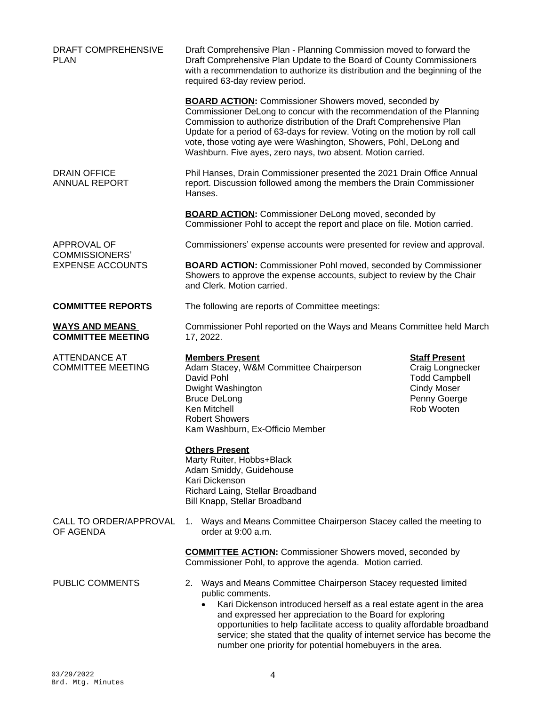| DRAFT COMPREHENSIVE<br>PLAN                                     | Draft Comprehensive Plan - Planning Commission moved to forward the<br>Draft Comprehensive Plan Update to the Board of County Commissioners<br>with a recommendation to authorize its distribution and the beginning of the<br>required 63-day review period.                                                                                                                                                                                |                                                                                                                      |  |
|-----------------------------------------------------------------|----------------------------------------------------------------------------------------------------------------------------------------------------------------------------------------------------------------------------------------------------------------------------------------------------------------------------------------------------------------------------------------------------------------------------------------------|----------------------------------------------------------------------------------------------------------------------|--|
|                                                                 | <b>BOARD ACTION:</b> Commissioner Showers moved, seconded by<br>Commissioner DeLong to concur with the recommendation of the Planning<br>Commission to authorize distribution of the Draft Comprehensive Plan<br>Update for a period of 63-days for review. Voting on the motion by roll call<br>vote, those voting aye were Washington, Showers, Pohl, DeLong and<br>Washburn. Five ayes, zero nays, two absent. Motion carried.            |                                                                                                                      |  |
| <b>DRAIN OFFICE</b><br><b>ANNUAL REPORT</b>                     | Phil Hanses, Drain Commissioner presented the 2021 Drain Office Annual<br>report. Discussion followed among the members the Drain Commissioner<br>Hanses.                                                                                                                                                                                                                                                                                    |                                                                                                                      |  |
|                                                                 | <b>BOARD ACTION:</b> Commissioner DeLong moved, seconded by<br>Commissioner Pohl to accept the report and place on file. Motion carried.                                                                                                                                                                                                                                                                                                     |                                                                                                                      |  |
| APPROVAL OF<br><b>COMMISSIONERS'</b><br><b>EXPENSE ACCOUNTS</b> | Commissioners' expense accounts were presented for review and approval.                                                                                                                                                                                                                                                                                                                                                                      |                                                                                                                      |  |
|                                                                 | <b>BOARD ACTION:</b> Commissioner Pohl moved, seconded by Commissioner<br>Showers to approve the expense accounts, subject to review by the Chair<br>and Clerk. Motion carried.                                                                                                                                                                                                                                                              |                                                                                                                      |  |
| <b>COMMITTEE REPORTS</b>                                        | The following are reports of Committee meetings:                                                                                                                                                                                                                                                                                                                                                                                             |                                                                                                                      |  |
| <b>WAYS AND MEANS</b><br><b>COMMITTEE MEETING</b>               | Commissioner Pohl reported on the Ways and Means Committee held March<br>17, 2022.                                                                                                                                                                                                                                                                                                                                                           |                                                                                                                      |  |
| <b>ATTENDANCE AT</b><br><b>COMMITTEE MEETING</b>                | <b>Members Present</b><br>Adam Stacey, W&M Committee Chairperson<br>David Pohl<br>Dwight Washington<br><b>Bruce DeLong</b><br>Ken Mitchell<br><b>Robert Showers</b><br>Kam Washburn, Ex-Officio Member                                                                                                                                                                                                                                       | <b>Staff Present</b><br>Craig Longnecker<br><b>Todd Campbell</b><br><b>Cindy Moser</b><br>Penny Goerge<br>Rob Wooten |  |
|                                                                 | <b>Others Present</b><br>Marty Ruiter, Hobbs+Black<br>Adam Smiddy, Guidehouse<br>Kari Dickenson<br>Richard Laing, Stellar Broadband<br>Bill Knapp, Stellar Broadband                                                                                                                                                                                                                                                                         |                                                                                                                      |  |
| CALL TO ORDER/APPROVAL<br>OF AGENDA                             | 1. Ways and Means Committee Chairperson Stacey called the meeting to<br>order at 9:00 a.m.                                                                                                                                                                                                                                                                                                                                                   |                                                                                                                      |  |
|                                                                 | <b>COMMITTEE ACTION:</b> Commissioner Showers moved, seconded by<br>Commissioner Pohl, to approve the agenda. Motion carried.                                                                                                                                                                                                                                                                                                                |                                                                                                                      |  |
| <b>PUBLIC COMMENTS</b>                                          | 2. Ways and Means Committee Chairperson Stacey requested limited<br>public comments.<br>Kari Dickenson introduced herself as a real estate agent in the area<br>and expressed her appreciation to the Board for exploring<br>opportunities to help facilitate access to quality affordable broadband<br>service; she stated that the quality of internet service has become the<br>number one priority for potential homebuyers in the area. |                                                                                                                      |  |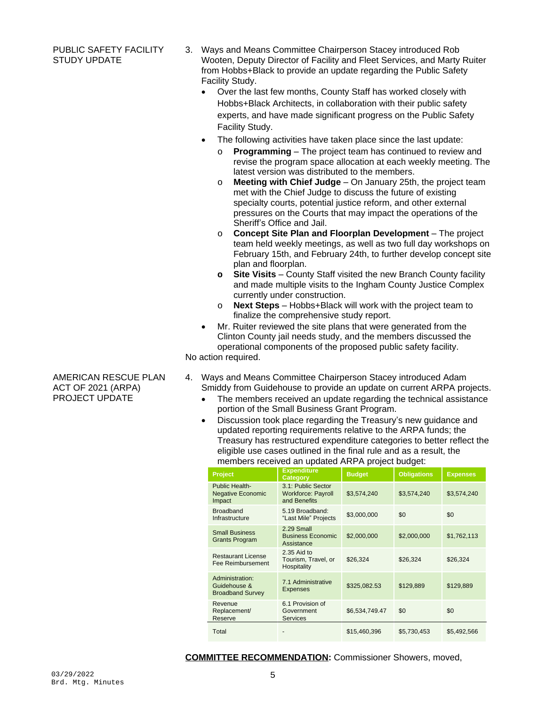### PUBLIC SAFETY FACILITY STUDY UPDATE

- 3. Ways and Means Committee Chairperson Stacey introduced Rob Wooten, Deputy Director of Facility and Fleet Services, and Marty Ruiter from Hobbs+Black to provide an update regarding the Public Safety Facility Study.
	- Over the last few months, County Staff has worked closely with Hobbs+Black Architects, in collaboration with their public safety experts, and have made significant progress on the Public Safety Facility Study.
	- The following activities have taken place since the last update:
		- o **Programming**  The project team has continued to review and revise the program space allocation at each weekly meeting. The latest version was distributed to the members.
		- o **Meeting with Chief Judge**  On January 25th, the project team met with the Chief Judge to discuss the future of existing specialty courts, potential justice reform, and other external pressures on the Courts that may impact the operations of the Sheriff's Office and Jail.
		- o **Concept Site Plan and Floorplan Development**  The project team held weekly meetings, as well as two full day workshops on February 15th, and February 24th, to further develop concept site plan and floorplan.
		- **o Site Visits**  County Staff visited the new Branch County facility and made multiple visits to the Ingham County Justice Complex currently under construction.
		- o **Next Steps**  Hobbs+Black will work with the project team to finalize the comprehensive study report.
	- Mr. Ruiter reviewed the site plans that were generated from the Clinton County jail needs study, and the members discussed the operational components of the proposed public safety facility.

No action required.

- 4. Ways and Means Committee Chairperson Stacey introduced Adam Smiddy from Guidehouse to provide an update on current ARPA projects.
	- The members received an update regarding the technical assistance portion of the Small Business Grant Program.
	- Discussion took place regarding the Treasury's new guidance and updated reporting requirements relative to the ARPA funds; the Treasury has restructured expenditure categories to better reflect the eligible use cases outlined in the final rule and as a result, the members received an updated ARPA project budget:

| Project                                                    | <b>Expenditure</b><br>Category                                  | <b>Budget</b>  | <b>Obligations</b> | <b>Expenses</b> |
|------------------------------------------------------------|-----------------------------------------------------------------|----------------|--------------------|-----------------|
| Public Health-<br><b>Negative Economic</b><br>Impact       | 3.1: Public Sector<br><b>Workforce: Payroll</b><br>and Benefits | \$3,574,240    | \$3,574,240        | \$3,574,240     |
| <b>Broadband</b><br>Infrastructure                         | 5.19 Broadband:<br>"Last Mile" Projects                         | \$3,000,000    | \$0                | \$0             |
| <b>Small Business</b><br><b>Grants Program</b>             | 2.29 Small<br><b>Business Economic</b><br>Assistance            | \$2,000,000    | \$2,000,000        | \$1,762,113     |
| <b>Restaurant License</b><br>Fee Reimbursement             | 2.35 Aid to<br>Tourism, Travel, or<br>Hospitality               | \$26,324       | \$26,324           | \$26,324        |
| Administration:<br>Guidehouse &<br><b>Broadband Survey</b> | 7.1 Administrative<br><b>Expenses</b>                           | \$325,082.53   | \$129,889          | \$129,889       |
| Revenue<br>Replacement/<br>Reserve                         | 6.1 Provision of<br>Government<br><b>Services</b>               | \$6,534,749.47 | \$0                | \$0             |
| Total                                                      |                                                                 | \$15,460,396   | \$5,730,453        | \$5,492,566     |

**COMMITTEE RECOMMENDATION:** Commissioner Showers, moved,

AMERICAN RESCUE PLAN ACT OF 2021 (ARPA) PROJECT UPDATE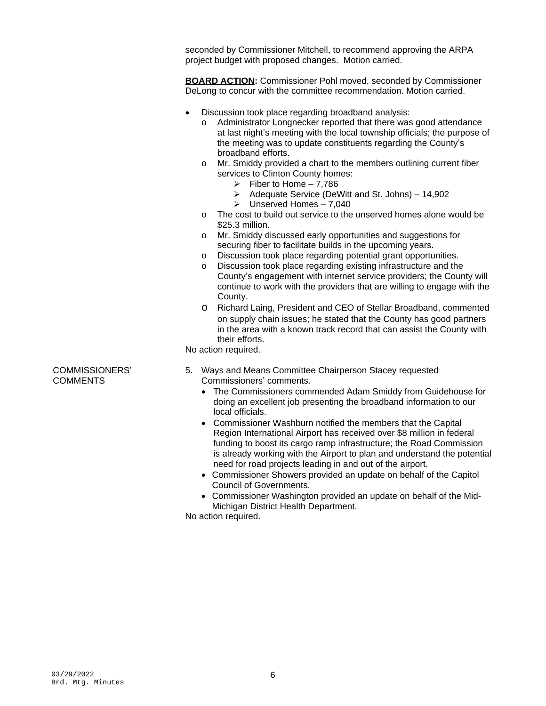seconded by Commissioner Mitchell, to recommend approving the ARPA project budget with proposed changes. Motion carried.

**BOARD ACTION:** Commissioner Pohl moved, seconded by Commissioner DeLong to concur with the committee recommendation. Motion carried.

- Discussion took place regarding broadband analysis:
	- o Administrator Longnecker reported that there was good attendance at last night's meeting with the local township officials; the purpose of the meeting was to update constituents regarding the County's broadband efforts.
	- o Mr. Smiddy provided a chart to the members outlining current fiber services to Clinton County homes:
		- $\triangleright$  Fiber to Home 7,786
		- $\triangleright$  Adequate Service (DeWitt and St. Johns) 14,902
		- $\geq$  Unserved Homes 7,040
	- o The cost to build out service to the unserved homes alone would be \$25.3 million.
	- o Mr. Smiddy discussed early opportunities and suggestions for securing fiber to facilitate builds in the upcoming years.
	- o Discussion took place regarding potential grant opportunities.
	- o Discussion took place regarding existing infrastructure and the County's engagement with internet service providers; the County will continue to work with the providers that are willing to engage with the County.
	- o Richard Laing, President and CEO of Stellar Broadband, commented on supply chain issues; he stated that the County has good partners in the area with a known track record that can assist the County with their efforts.

No action required.

- 5. Ways and Means Committee Chairperson Stacey requested Commissioners' comments.
	- The Commissioners commended Adam Smiddy from Guidehouse for doing an excellent job presenting the broadband information to our local officials.
	- Commissioner Washburn notified the members that the Capital Region International Airport has received over \$8 million in federal funding to boost its cargo ramp infrastructure; the Road Commission is already working with the Airport to plan and understand the potential need for road projects leading in and out of the airport.
	- Commissioner Showers provided an update on behalf of the Capitol Council of Governments.
	- Commissioner Washington provided an update on behalf of the Mid-Michigan District Health Department.

No action required.

COMMISSIONERS' **COMMENTS**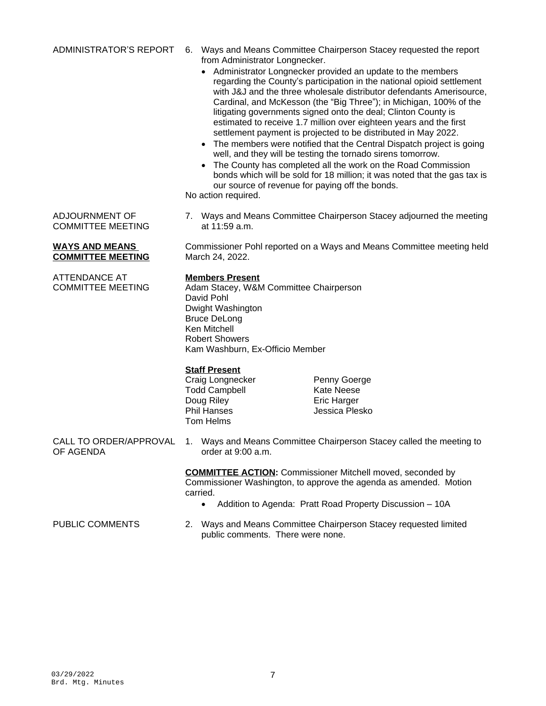ADMINISTRATOR'S REPORT 6. Ways and Means Committee Chairperson Stacey requested the report from Administrator Longnecker.

- Administrator Longnecker provided an update to the members regarding the County's participation in the national opioid settlement with J&J and the three wholesale distributor defendants Amerisource, Cardinal, and McKesson (the "Big Three"); in Michigan, 100% of the litigating governments signed onto the deal; Clinton County is estimated to receive 1.7 million over eighteen years and the first settlement payment is projected to be distributed in May 2022.
- The members were notified that the Central Dispatch project is going well, and they will be testing the tornado sirens tomorrow.
- The County has completed all the work on the Road Commission bonds which will be sold for 18 million; it was noted that the gas tax is our source of revenue for paying off the bonds.

No action required.

7. Ways and Means Committee Chairperson Stacey adjourned the meeting at 11:59 a.m.

Commissioner Pohl reported on a Ways and Means Committee meeting held March 24, 2022.

### **Members Present**

Adam Stacey, W&M Committee Chairperson David Pohl Dwight Washington Bruce DeLong Ken Mitchell Robert Showers Kam Washburn, Ex-Officio Member

### **Staff Present**

Craig Longnecker **Penny Goerge**<br>Todd Campbell **Read Contains Hart** Kate Neese Todd Campbell Doug Riley Eric Harger Tom Helms

Jessica Plesko

OF AGENDA

CALL TO ORDER/APPROVAL 1. Ways and Means Committee Chairperson Stacey called the meeting to order at 9:00 a.m.

> **COMMITTEE ACTION:** Commissioner Mitchell moved, seconded by Commissioner Washington, to approve the agenda as amended. Motion carried.

Addition to Agenda: Pratt Road Property Discussion – 10A

PUBLIC COMMENTS 2. Ways and Means Committee Chairperson Stacey requested limited public comments. There were none.

**WAYS AND MEANS COMMITTEE MEETING**

ADJOURNMENT OF COMMITTEE MEETING

ATTENDANCE AT COMMITTEE MEETING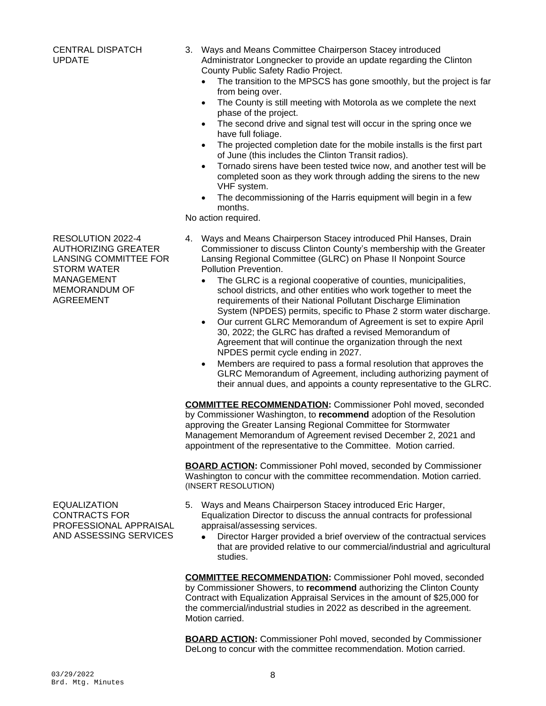3. Ways and Means Committee Chairperson Stacey introduced Administrator Longnecker to provide an update regarding the Clinton County Public Safety Radio Project.

- The transition to the MPSCS has gone smoothly, but the project is far from being over.
- The County is still meeting with Motorola as we complete the next phase of the project.
- The second drive and signal test will occur in the spring once we have full foliage.
- The projected completion date for the mobile installs is the first part of June (this includes the Clinton Transit radios).
- Tornado sirens have been tested twice now, and another test will be completed soon as they work through adding the sirens to the new VHF system.
- The decommissioning of the Harris equipment will begin in a few months.

No action required.

- 4. Ways and Means Chairperson Stacey introduced Phil Hanses, Drain Commissioner to discuss Clinton County's membership with the Greater Lansing Regional Committee (GLRC) on Phase II Nonpoint Source Pollution Prevention.
	- The GLRC is a regional cooperative of counties, municipalities, school districts, and other entities who work together to meet the requirements of their National Pollutant Discharge Elimination System (NPDES) permits, specific to Phase 2 storm water discharge.
	- Our current GLRC Memorandum of Agreement is set to expire April 30, 2022; the GLRC has drafted a revised Memorandum of Agreement that will continue the organization through the next NPDES permit cycle ending in 2027.
	- Members are required to pass a formal resolution that approves the GLRC Memorandum of Agreement, including authorizing payment of their annual dues, and appoints a county representative to the GLRC.

**COMMITTEE RECOMMENDATION:** Commissioner Pohl moved, seconded by Commissioner Washington, to **recommend** adoption of the Resolution approving the Greater Lansing Regional Committee for Stormwater Management Memorandum of Agreement revised December 2, 2021 and appointment of the representative to the Committee. Motion carried.

**BOARD ACTION:** Commissioner Pohl moved, seconded by Commissioner Washington to concur with the committee recommendation. Motion carried. (INSERT RESOLUTION)

**EQUALIZATION** CONTRACTS FOR PROFESSIONAL APPRAISAL AND ASSESSING SERVICES

- 5. Ways and Means Chairperson Stacey introduced Eric Harger, Equalization Director to discuss the annual contracts for professional appraisal/assessing services.
	- Director Harger provided a brief overview of the contractual services that are provided relative to our commercial/industrial and agricultural studies.

**COMMITTEE RECOMMENDATION:** Commissioner Pohl moved, seconded by Commissioner Showers, to **recommend** authorizing the Clinton County Contract with Equalization Appraisal Services in the amount of \$25,000 for the commercial/industrial studies in 2022 as described in the agreement. Motion carried.

**BOARD ACTION:** Commissioner Pohl moved, seconded by Commissioner DeLong to concur with the committee recommendation. Motion carried.

RESOLUTION 2022-4 AUTHORIZING GREATER LANSING COMMITTEE FOR STORM WATER MANAGEMENT MEMORANDUM OF AGREEMENT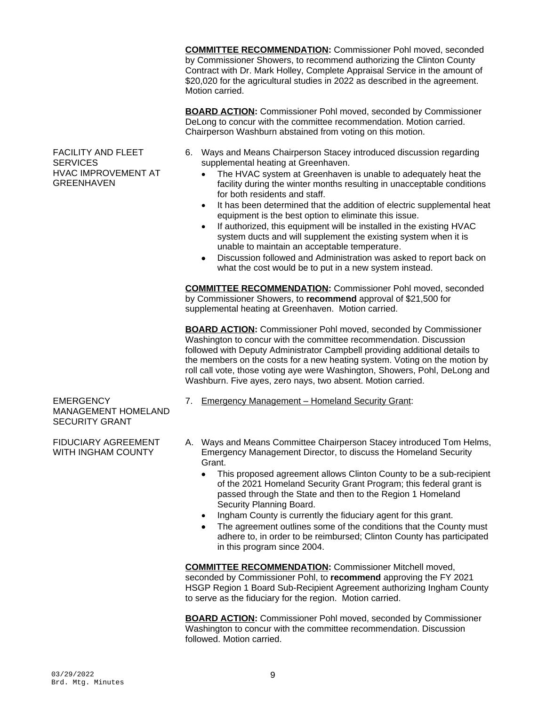**COMMITTEE RECOMMENDATION:** Commissioner Pohl moved, seconded by Commissioner Showers, to recommend authorizing the Clinton County Contract with Dr. Mark Holley, Complete Appraisal Service in the amount of \$20,020 for the agricultural studies in 2022 as described in the agreement. Motion carried.

**BOARD ACTION:** Commissioner Pohl moved, seconded by Commissioner DeLong to concur with the committee recommendation. Motion carried. Chairperson Washburn abstained from voting on this motion.

- 6. Ways and Means Chairperson Stacey introduced discussion regarding supplemental heating at Greenhaven.
	- The HVAC system at Greenhaven is unable to adequately heat the facility during the winter months resulting in unacceptable conditions for both residents and staff.
	- It has been determined that the addition of electric supplemental heat equipment is the best option to eliminate this issue.
	- If authorized, this equipment will be installed in the existing HVAC system ducts and will supplement the existing system when it is unable to maintain an acceptable temperature.
	- Discussion followed and Administration was asked to report back on what the cost would be to put in a new system instead.

**COMMITTEE RECOMMENDATION:** Commissioner Pohl moved, seconded by Commissioner Showers, to **recommend** approval of \$21,500 for supplemental heating at Greenhaven. Motion carried.

**BOARD ACTION:** Commissioner Pohl moved, seconded by Commissioner Washington to concur with the committee recommendation. Discussion followed with Deputy Administrator Campbell providing additional details to the members on the costs for a new heating system. Voting on the motion by roll call vote, those voting aye were Washington, Showers, Pohl, DeLong and Washburn. Five ayes, zero nays, two absent. Motion carried.

- 7. Emergency Management Homeland Security Grant:
- A. Ways and Means Committee Chairperson Stacey introduced Tom Helms, Emergency Management Director, to discuss the Homeland Security Grant.
	- This proposed agreement allows Clinton County to be a sub-recipient of the 2021 Homeland Security Grant Program; this federal grant is passed through the State and then to the Region 1 Homeland Security Planning Board.
	- Ingham County is currently the fiduciary agent for this grant.
	- The agreement outlines some of the conditions that the County must adhere to, in order to be reimbursed; Clinton County has participated in this program since 2004.

**COMMITTEE RECOMMENDATION:** Commissioner Mitchell moved, seconded by Commissioner Pohl, to **recommend** approving the FY 2021 HSGP Region 1 Board Sub-Recipient Agreement authorizing Ingham County to serve as the fiduciary for the region. Motion carried.

**BOARD ACTION:** Commissioner Pohl moved, seconded by Commissioner Washington to concur with the committee recommendation. Discussion followed. Motion carried.

**EMERGENCY** 

SECURITY GRANT

MANAGEMENT HOMELAND

FIDUCIARY AGREEMENT WITH INGHAM COUNTY

FACILITY AND FLEET **SERVICES** HVAC IMPROVEMENT AT GREENHAVEN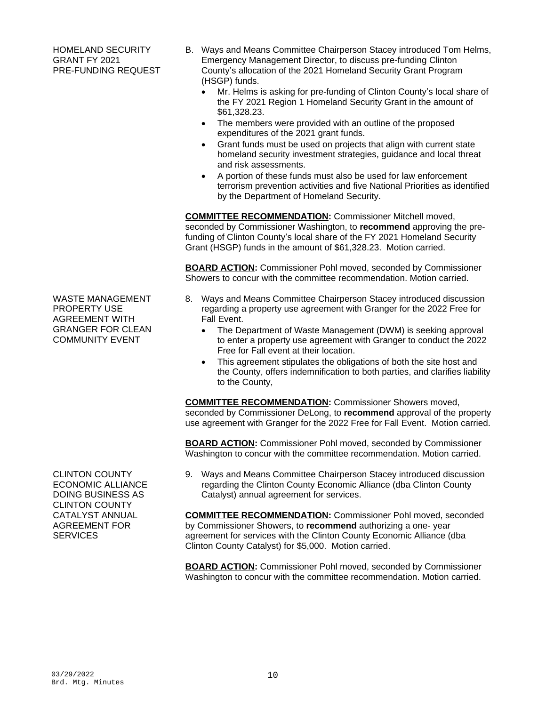HOMELAND SECURITY GRANT FY 2021 PRE-FUNDING REQUEST

- B. Ways and Means Committee Chairperson Stacey introduced Tom Helms, Emergency Management Director, to discuss pre-funding Clinton County's allocation of the 2021 Homeland Security Grant Program (HSGP) funds.
	- Mr. Helms is asking for pre-funding of Clinton County's local share of the FY 2021 Region 1 Homeland Security Grant in the amount of \$61,328.23.
	- The members were provided with an outline of the proposed expenditures of the 2021 grant funds.
	- Grant funds must be used on projects that align with current state homeland security investment strategies, guidance and local threat and risk assessments.
	- A portion of these funds must also be used for law enforcement terrorism prevention activities and five National Priorities as identified by the Department of Homeland Security.

**COMMITTEE RECOMMENDATION:** Commissioner Mitchell moved, seconded by Commissioner Washington, to **recommend** approving the prefunding of Clinton County's local share of the FY 2021 Homeland Security Grant (HSGP) funds in the amount of \$61,328.23. Motion carried.

**BOARD ACTION:** Commissioner Pohl moved, seconded by Commissioner Showers to concur with the committee recommendation. Motion carried.

- 8. Ways and Means Committee Chairperson Stacey introduced discussion regarding a property use agreement with Granger for the 2022 Free for Fall Event.
	- The Department of Waste Management (DWM) is seeking approval to enter a property use agreement with Granger to conduct the 2022 Free for Fall event at their location.
	- This agreement stipulates the obligations of both the site host and the County, offers indemnification to both parties, and clarifies liability to the County,

**COMMITTEE RECOMMENDATION:** Commissioner Showers moved, seconded by Commissioner DeLong, to **recommend** approval of the property use agreement with Granger for the 2022 Free for Fall Event. Motion carried.

**BOARD ACTION:** Commissioner Pohl moved, seconded by Commissioner Washington to concur with the committee recommendation. Motion carried.

9. Ways and Means Committee Chairperson Stacey introduced discussion regarding the Clinton County Economic Alliance (dba Clinton County Catalyst) annual agreement for services.

**COMMITTEE RECOMMENDATION:** Commissioner Pohl moved, seconded by Commissioner Showers, to **recommend** authorizing a one- year agreement for services with the Clinton County Economic Alliance (dba Clinton County Catalyst) for \$5,000. Motion carried.

**BOARD ACTION:** Commissioner Pohl moved, seconded by Commissioner Washington to concur with the committee recommendation. Motion carried.

WASTE MANAGEMENT PROPERTY USE AGREEMENT WITH GRANGER FOR CLEAN COMMUNITY EVENT

CLINTON COUNTY ECONOMIC ALLIANCE DOING BUSINESS AS CLINTON COUNTY CATALYST ANNUAL AGREEMENT FOR **SERVICES**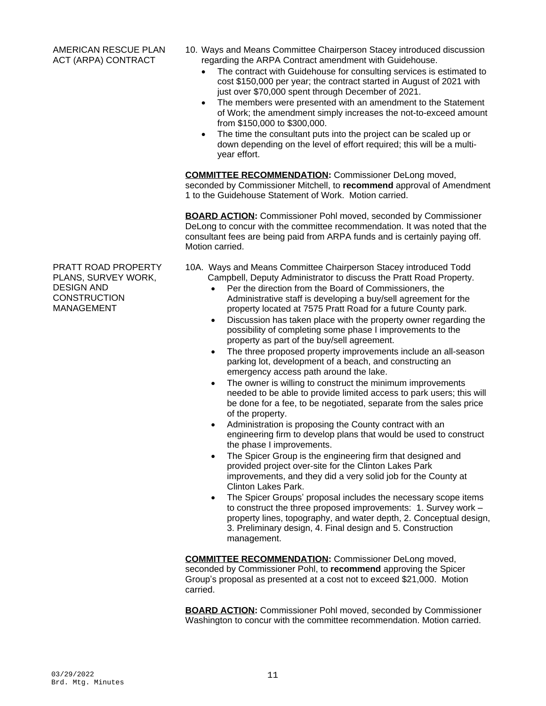- 10. Ways and Means Committee Chairperson Stacey introduced discussion regarding the ARPA Contract amendment with Guidehouse.
	- The contract with Guidehouse for consulting services is estimated to cost \$150,000 per year; the contract started in August of 2021 with just over \$70,000 spent through December of 2021.
	- The members were presented with an amendment to the Statement of Work; the amendment simply increases the not-to-exceed amount from \$150,000 to \$300,000.
	- The time the consultant puts into the project can be scaled up or down depending on the level of effort required; this will be a multiyear effort.

**COMMITTEE RECOMMENDATION:** Commissioner DeLong moved, seconded by Commissioner Mitchell, to **recommend** approval of Amendment 1 to the Guidehouse Statement of Work. Motion carried.

**BOARD ACTION:** Commissioner Pohl moved, seconded by Commissioner DeLong to concur with the committee recommendation. It was noted that the consultant fees are being paid from ARPA funds and is certainly paying off. Motion carried.

- 10A. Ways and Means Committee Chairperson Stacey introduced Todd Campbell, Deputy Administrator to discuss the Pratt Road Property.
	- Per the direction from the Board of Commissioners, the Administrative staff is developing a buy/sell agreement for the property located at 7575 Pratt Road for a future County park.
	- Discussion has taken place with the property owner regarding the possibility of completing some phase I improvements to the property as part of the buy/sell agreement.
	- The three proposed property improvements include an all-season parking lot, development of a beach, and constructing an emergency access path around the lake.
	- The owner is willing to construct the minimum improvements needed to be able to provide limited access to park users; this will be done for a fee, to be negotiated, separate from the sales price of the property.
	- Administration is proposing the County contract with an engineering firm to develop plans that would be used to construct the phase I improvements.
	- The Spicer Group is the engineering firm that designed and provided project over-site for the Clinton Lakes Park improvements, and they did a very solid job for the County at Clinton Lakes Park.
	- The Spicer Groups' proposal includes the necessary scope items to construct the three proposed improvements: 1. Survey work – property lines, topography, and water depth, 2. Conceptual design, 3. Preliminary design, 4. Final design and 5. Construction management.

**COMMITTEE RECOMMENDATION:** Commissioner DeLong moved, seconded by Commissioner Pohl, to **recommend** approving the Spicer Group's proposal as presented at a cost not to exceed \$21,000. Motion carried.

**BOARD ACTION:** Commissioner Pohl moved, seconded by Commissioner Washington to concur with the committee recommendation. Motion carried.

PRATT ROAD PROPERTY PLANS, SURVEY WORK, DESIGN AND **CONSTRUCTION** MANAGEMENT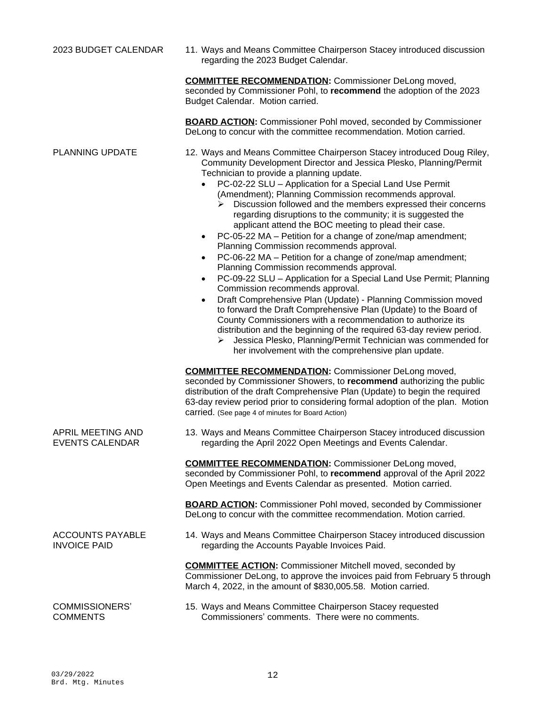2023 BUDGET CALENDAR 11. Ways and Means Committee Chairperson Stacey introduced discussion regarding the 2023 Budget Calendar.

> **COMMITTEE RECOMMENDATION:** Commissioner DeLong moved, seconded by Commissioner Pohl, to **recommend** the adoption of the 2023 Budget Calendar. Motion carried.

> **BOARD ACTION:** Commissioner Pohl moved, seconded by Commissioner DeLong to concur with the committee recommendation. Motion carried.

- PLANNING UPDATE 12. Ways and Means Committee Chairperson Stacey introduced Doug Riley, Community Development Director and Jessica Plesko, Planning/Permit Technician to provide a planning update.
	- PC-02-22 SLU Application for a Special Land Use Permit (Amendment); Planning Commission recommends approval.
		- Discussion followed and the members expressed their concerns regarding disruptions to the community; it is suggested the applicant attend the BOC meeting to plead their case.
	- PC-05-22 MA Petition for a change of zone/map amendment; Planning Commission recommends approval.
	- PC-06-22 MA Petition for a change of zone/map amendment; Planning Commission recommends approval.
	- PC-09-22 SLU Application for a Special Land Use Permit; Planning Commission recommends approval.
	- Draft Comprehensive Plan (Update) Planning Commission moved to forward the Draft Comprehensive Plan (Update) to the Board of County Commissioners with a recommendation to authorize its distribution and the beginning of the required 63-day review period.
		- Jessica Plesko, Planning/Permit Technician was commended for her involvement with the comprehensive plan update.

**COMMITTEE RECOMMENDATION:** Commissioner DeLong moved, seconded by Commissioner Showers, to **recommend** authorizing the public distribution of the draft Comprehensive Plan (Update) to begin the required 63-day review period prior to considering formal adoption of the plan. Motion carried. (See page 4 of minutes for Board Action)

13. Ways and Means Committee Chairperson Stacey introduced discussion regarding the April 2022 Open Meetings and Events Calendar.

**COMMITTEE RECOMMENDATION:** Commissioner DeLong moved, seconded by Commissioner Pohl, to **recommend** approval of the April 2022 Open Meetings and Events Calendar as presented. Motion carried.

**BOARD ACTION:** Commissioner Pohl moved, seconded by Commissioner DeLong to concur with the committee recommendation. Motion carried.

14. Ways and Means Committee Chairperson Stacey introduced discussion regarding the Accounts Payable Invoices Paid.

**COMMITTEE ACTION:** Commissioner Mitchell moved, seconded by Commissioner DeLong, to approve the invoices paid from February 5 through March 4, 2022, in the amount of \$830,005.58. Motion carried.

COMMISSIONERS' **COMMENTS** 

APRIL MEETING AND EVENTS CALENDAR

ACCOUNTS PAYABLE

INVOICE PAID

15. Ways and Means Committee Chairperson Stacey requested Commissioners' comments. There were no comments.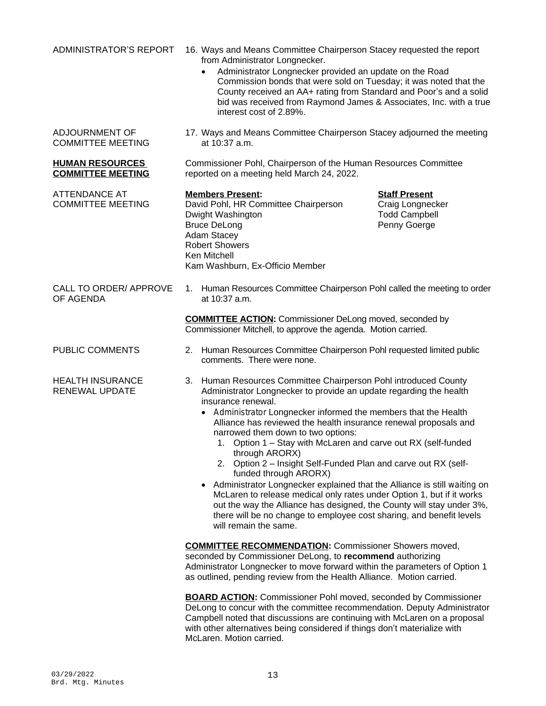ADJOURNMENT OF COMMITTEE MEETING

**HUMAN RESOURCES COMMITTEE MEETING**

ATTENDANCE AT COMMITTEE MEETING

- ADMINISTRATOR'S REPORT 16. Ways and Means Committee Chairperson Stacey requested the report from Administrator Longnecker.
	- Administrator Longnecker provided an update on the Road Commission bonds that were sold on Tuesday; it was noted that the County received an AA+ rating from Standard and Poor's and a solid bid was received from Raymond James & Associates, Inc. with a true interest cost of 2.89%.
	- 17. Ways and Means Committee Chairperson Stacey adjourned the meeting at 10:37 a.m.

Commissioner Pohl, Chairperson of the Human Resources Committee reported on a meeting held March 24, 2022.

**Members Present: Staff Present** David Pohl, HR Committee Chairperson Dwight Washington **Todd Campbell** Bruce DeLong **Penny Goerge** Penny Goerge Adam Stacey Robert Showers Ken Mitchell Kam Washburn, Ex-Officio Member

CALL TO ORDER/ APPROVE OF AGENDA

HEALTH INSURANCE RENEWAL UPDATE

1. Human Resources Committee Chairperson Pohl called the meeting to order at 10:37 a.m.

**COMMITTEE ACTION:** Commissioner DeLong moved, seconded by Commissioner Mitchell, to approve the agenda. Motion carried.

- PUBLIC COMMENTS 2. Human Resources Committee Chairperson Pohl requested limited public comments. There were none.
	- 3. Human Resources Committee Chairperson Pohl introduced County Administrator Longnecker to provide an update regarding the health insurance renewal.
		- Administrator Longnecker informed the members that the Health Alliance has reviewed the health insurance renewal proposals and narrowed them down to two options:
			- 1. Option 1 Stay with McLaren and carve out RX (self-funded through ARORX)
			- 2. Option 2 Insight Self-Funded Plan and carve out RX (selffunded through ARORX)
		- Administrator Longnecker explained that the Alliance is still waiting on McLaren to release medical only rates under Option 1, but if it works out the way the Alliance has designed, the County will stay under 3%, there will be no change to employee cost sharing, and benefit levels will remain the same.

**COMMITTEE RECOMMENDATION:** Commissioner Showers moved, seconded by Commissioner DeLong, to **recommend** authorizing Administrator Longnecker to move forward within the parameters of Option 1 as outlined, pending review from the Health Alliance. Motion carried.

**BOARD ACTION:** Commissioner Pohl moved, seconded by Commissioner DeLong to concur with the committee recommendation. Deputy Administrator Campbell noted that discussions are continuing with McLaren on a proposal with other alternatives being considered if things don't materialize with McLaren. Motion carried.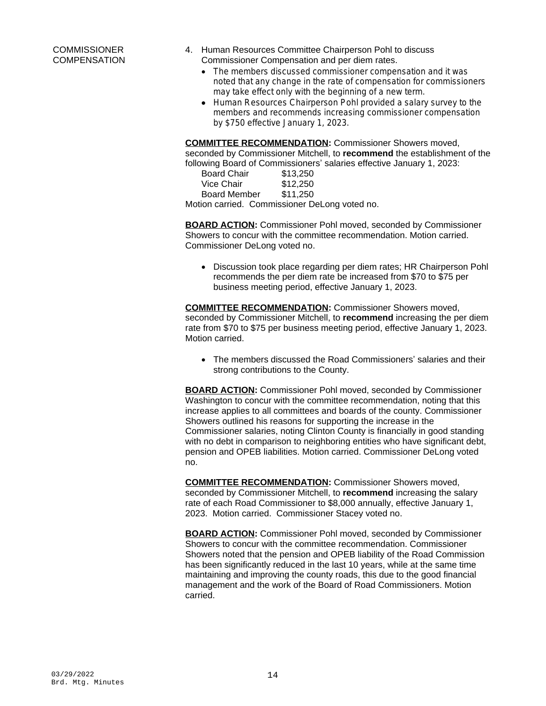## **COMMISSIONER COMPENSATION**

- 4. Human Resources Committee Chairperson Pohl to discuss Commissioner Compensation and per diem rates.
	- The members discussed commissioner compensation and it was noted that any change in the rate of compensation for commissioners may take effect only with the beginning of a new term.
	- Human Resources Chairperson Pohl provided a salary survey to the members and recommends increasing commissioner compensation by \$750 effective January 1, 2023.

**COMMITTEE RECOMMENDATION:** Commissioner Showers moved, seconded by Commissioner Mitchell, to **recommend** the establishment of the following Board of Commissioners' salaries effective January 1, 2023:

| <b>Board Chair</b>  | \$13,250 |
|---------------------|----------|
| Vice Chair          | \$12,250 |
| <b>Board Member</b> | \$11,250 |
|                     |          |

Motion carried. Commissioner DeLong voted no.

**BOARD ACTION:** Commissioner Pohl moved, seconded by Commissioner Showers to concur with the committee recommendation. Motion carried. Commissioner DeLong voted no.

 Discussion took place regarding per diem rates; HR Chairperson Pohl recommends the per diem rate be increased from \$70 to \$75 per business meeting period, effective January 1, 2023.

**COMMITTEE RECOMMENDATION:** Commissioner Showers moved, seconded by Commissioner Mitchell, to **recommend** increasing the per diem rate from \$70 to \$75 per business meeting period, effective January 1, 2023. Motion carried.

 The members discussed the Road Commissioners' salaries and their strong contributions to the County.

**BOARD ACTION:** Commissioner Pohl moved, seconded by Commissioner Washington to concur with the committee recommendation, noting that this increase applies to all committees and boards of the county. Commissioner Showers outlined his reasons for supporting the increase in the Commissioner salaries, noting Clinton County is financially in good standing with no debt in comparison to neighboring entities who have significant debt, pension and OPEB liabilities. Motion carried. Commissioner DeLong voted no.

**COMMITTEE RECOMMENDATION:** Commissioner Showers moved, seconded by Commissioner Mitchell, to **recommend** increasing the salary rate of each Road Commissioner to \$8,000 annually, effective January 1, 2023. Motion carried. Commissioner Stacey voted no.

**BOARD ACTION:** Commissioner Pohl moved, seconded by Commissioner Showers to concur with the committee recommendation. Commissioner Showers noted that the pension and OPEB liability of the Road Commission has been significantly reduced in the last 10 years, while at the same time maintaining and improving the county roads, this due to the good financial management and the work of the Board of Road Commissioners. Motion carried.